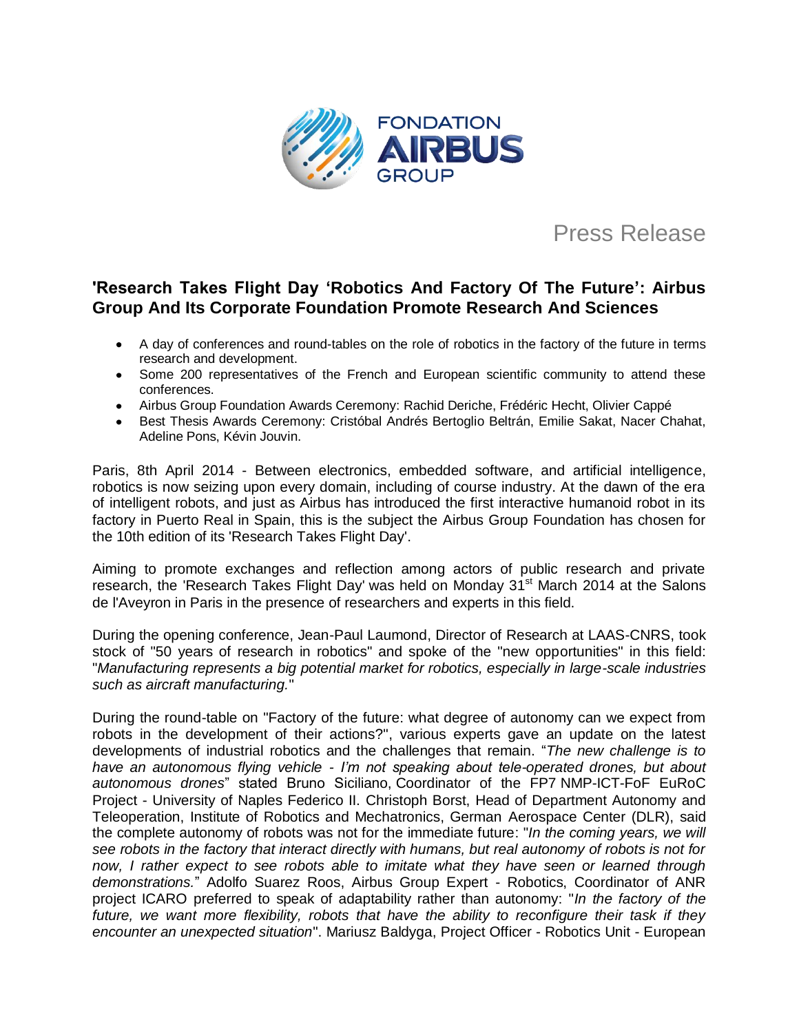

# Press Release

## **'Research Takes Flight Day 'Robotics And Factory Of The Future': Airbus Group And Its Corporate Foundation Promote Research And Sciences**

- A day of conferences and round-tables on the role of robotics in the factory of the future in terms research and development.
- Some 200 representatives of the French and European scientific community to attend these conferences.
- Airbus Group Foundation Awards Ceremony: Rachid Deriche, Frédéric Hecht, Olivier Cappé
- Best Thesis Awards Ceremony: Cristóbal Andrés Bertoglio Beltrán, Emilie Sakat, Nacer Chahat, Adeline Pons, Kévin Jouvin.

Paris, 8th April 2014 - Between electronics, embedded software, and artificial intelligence, robotics is now seizing upon every domain, including of course industry. At the dawn of the era of intelligent robots, and just as Airbus has introduced the first interactive humanoid robot in its factory in Puerto Real in Spain, this is the subject the Airbus Group Foundation has chosen for the 10th edition of its 'Research Takes Flight Day'.

Aiming to promote exchanges and reflection among actors of public research and private research, the 'Research Takes Flight Day' was held on Monday 31<sup>st</sup> March 2014 at the Salons de l'Aveyron in Paris in the presence of researchers and experts in this field.

During the opening conference, Jean-Paul Laumond, Director of Research at LAAS-CNRS, took stock of "50 years of research in robotics" and spoke of the "new opportunities" in this field: "*Manufacturing represents a big potential market for robotics, especially in large-scale industries such as aircraft manufacturing.*"

During the round-table on "Factory of the future: what degree of autonomy can we expect from robots in the development of their actions?", various experts gave an update on the latest developments of industrial robotics and the challenges that remain. "*The new challenge is to have an autonomous flying vehicle - I'm not speaking about tele-operated drones, but about autonomous drones*" stated Bruno Siciliano, Coordinator of the FP7 NMP-ICT-FoF EuRoC Project - University of Naples Federico II. Christoph Borst, Head of Department Autonomy and Teleoperation, Institute of Robotics and Mechatronics, German Aerospace Center (DLR), said the complete autonomy of robots was not for the immediate future: "*In the coming years, we will see robots in the factory that interact directly with humans, but real autonomy of robots is not for now, I rather expect to see robots able to imitate what they have seen or learned through demonstrations.*" Adolfo Suarez Roos, Airbus Group Expert - Robotics, Coordinator of ANR project ICARO preferred to speak of adaptability rather than autonomy: "*In the factory of the future, we want more flexibility, robots that have the ability to reconfigure their task if they encounter an unexpected situation*". Mariusz Baldyga, Project Officer - Robotics Unit - European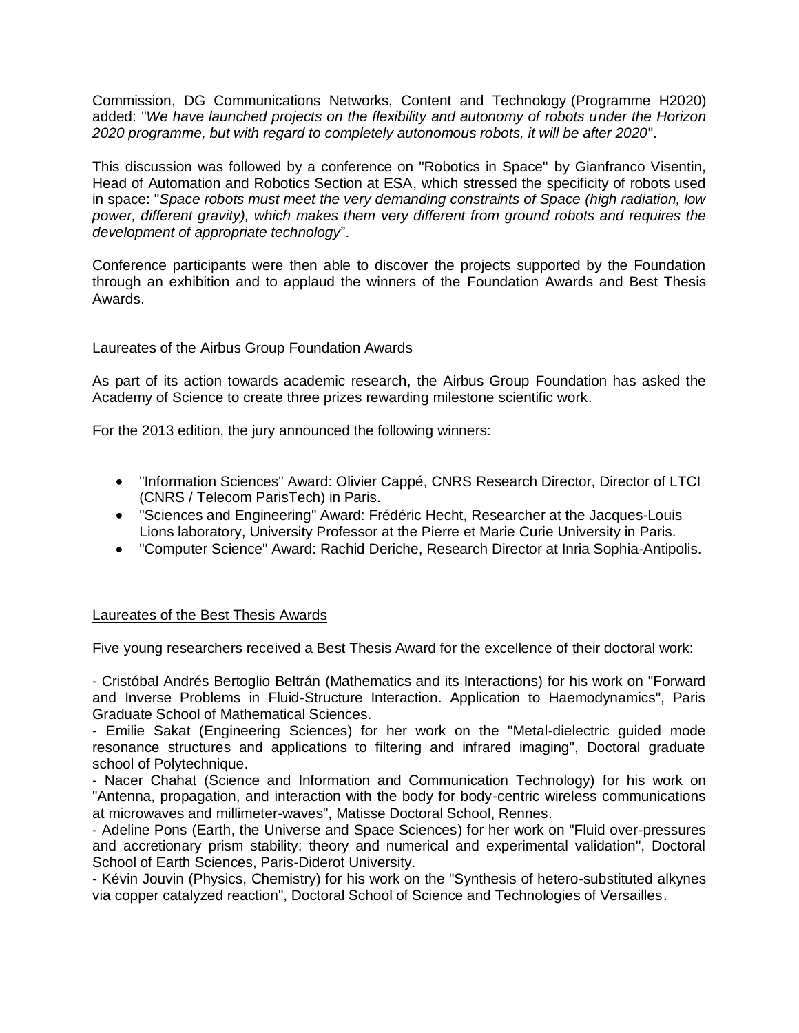Commission, DG Communications Networks, Content and Technology (Programme H2020) added: "*We have launched projects on the flexibility and autonomy of robots under the Horizon 2020 programme, but with regard to completely autonomous robots, it will be after 2020*".

This discussion was followed by a conference on "Robotics in Space" by Gianfranco Visentin, Head of Automation and Robotics Section at ESA, which stressed the specificity of robots used in space: "*Space robots must meet the very demanding constraints of Space (high radiation, low power, different gravity), which makes them very different from ground robots and requires the development of appropriate technology*".

Conference participants were then able to discover the projects supported by the Foundation through an exhibition and to applaud the winners of the Foundation Awards and Best Thesis Awards.

## Laureates of the Airbus Group Foundation Awards

As part of its action towards academic research, the Airbus Group Foundation has asked the Academy of Science to create three prizes rewarding milestone scientific work.

For the 2013 edition, the jury announced the following winners:

- "Information Sciences" Award: Olivier Cappé, CNRS Research Director, Director of LTCI (CNRS / Telecom ParisTech) in Paris.
- "Sciences and Engineering" Award: Frédéric Hecht, Researcher at the Jacques-Louis Lions laboratory, University Professor at the Pierre et Marie Curie University in Paris.
- "Computer Science" Award: Rachid Deriche, Research Director at Inria Sophia-Antipolis.

### Laureates of the Best Thesis Awards

Five young researchers received a Best Thesis Award for the excellence of their doctoral work:

- Cristóbal Andrés Bertoglio Beltrán (Mathematics and its Interactions) for his work on "Forward and Inverse Problems in Fluid-Structure Interaction. Application to Haemodynamics", Paris Graduate School of Mathematical Sciences.

- Emilie Sakat (Engineering Sciences) for her work on the "Metal-dielectric guided mode resonance structures and applications to filtering and infrared imaging", Doctoral graduate school of Polytechnique.

- Nacer Chahat (Science and Information and Communication Technology) for his work on "Antenna, propagation, and interaction with the body for body-centric wireless communications at microwaves and millimeter-waves", Matisse Doctoral School, Rennes.

- Adeline Pons (Earth, the Universe and Space Sciences) for her work on "Fluid over-pressures and accretionary prism stability: theory and numerical and experimental validation", Doctoral School of Earth Sciences, Paris-Diderot University.

- Kévin Jouvin (Physics, Chemistry) for his work on the "Synthesis of hetero-substituted alkynes via copper catalyzed reaction", Doctoral School of Science and Technologies of Versailles.